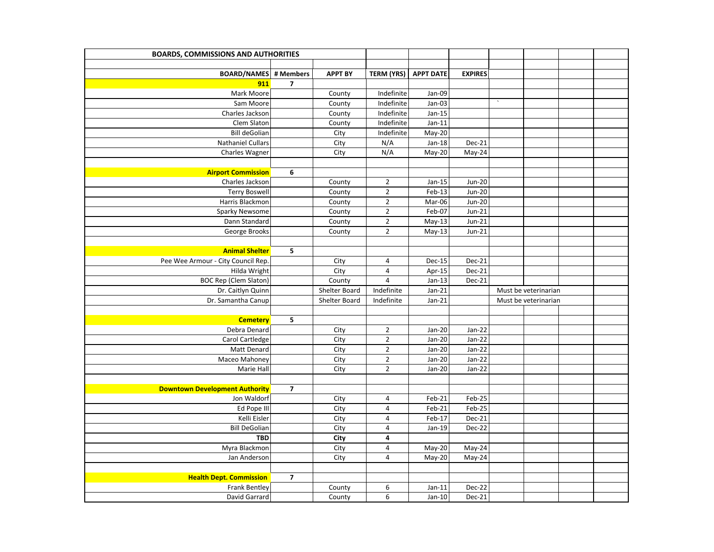| <b>BOARDS, COMMISSIONS AND AUTHORITIES</b> |                         |                |                         |                  |                |                        |                      |  |
|--------------------------------------------|-------------------------|----------------|-------------------------|------------------|----------------|------------------------|----------------------|--|
|                                            |                         |                |                         |                  |                |                        |                      |  |
| <b>BOARD/NAMES</b>                         | # Members               | <b>APPT BY</b> | <b>TERM (YRS)</b>       | <b>APPT DATE</b> | <b>EXPIRES</b> |                        |                      |  |
| 911                                        | $\overline{\mathbf{z}}$ |                |                         |                  |                |                        |                      |  |
| Mark Moore                                 |                         | County         | Indefinite              | Jan-09           |                |                        |                      |  |
| Sam Moore                                  |                         | County         | Indefinite              | Jan-03           |                | $\boldsymbol{\lambda}$ |                      |  |
| Charles Jackson                            |                         | County         | Indefinite              | Jan-15           |                |                        |                      |  |
| Clem Slaton                                |                         | County         | Indefinite              | $Jan-11$         |                |                        |                      |  |
| <b>Bill deGolian</b>                       |                         | City           | Indefinite              | May-20           |                |                        |                      |  |
| <b>Nathaniel Cullars</b>                   |                         | City           | N/A                     | $Jan-18$         | Dec-21         |                        |                      |  |
| Charles Wagner                             |                         | City           | N/A                     | May-20           | May-24         |                        |                      |  |
|                                            |                         |                |                         |                  |                |                        |                      |  |
| <b>Airport Commission</b>                  | 6                       |                |                         |                  |                |                        |                      |  |
| Charles Jackson                            |                         | County         | $\overline{2}$          | Jan-15           | <b>Jun-20</b>  |                        |                      |  |
| <b>Terry Boswell</b>                       |                         | County         | $\overline{2}$          | Feb-13           | Jun-20         |                        |                      |  |
| Harris Blackmon                            |                         | County         | $\mathbf 2$             | Mar-06           | Jun-20         |                        |                      |  |
| Sparky Newsome                             |                         | County         | $\mathbf 2$             | Feb-07           | $Jun-21$       |                        |                      |  |
| Dann Standard                              |                         | County         | $\mathbf 2$             | $May-13$         | $Jun-21$       |                        |                      |  |
| George Brooks                              |                         | County         | $\sqrt{2}$              | $May-13$         | $Jun-21$       |                        |                      |  |
|                                            |                         |                |                         |                  |                |                        |                      |  |
| <b>Animal Shelter</b>                      | 5                       |                |                         |                  |                |                        |                      |  |
| Pee Wee Armour - City Council Rep.         |                         | City           | $\overline{4}$          | <b>Dec-15</b>    | Dec-21         |                        |                      |  |
| Hilda Wright                               |                         | City           | $\overline{\mathbf{4}}$ | Apr-15           | Dec-21         |                        |                      |  |
| <b>BOC Rep (Clem Slaton)</b>               |                         | County         | $\sqrt{4}$              | $Jan-13$         | Dec-21         |                        |                      |  |
| Dr. Caitlyn Quinn                          |                         | Shelter Board  | Indefinite              | $Jan-21$         |                |                        | Must be veterinarian |  |
| Dr. Samantha Canup                         |                         | Shelter Board  | Indefinite              | $Jan-21$         |                |                        | Must be veterinarian |  |
|                                            |                         |                |                         |                  |                |                        |                      |  |
| <b>Cemetery</b>                            | 5                       |                |                         |                  |                |                        |                      |  |
| Debra Denard                               |                         | City           | $\mathbf 2$             | Jan-20           | Jan-22         |                        |                      |  |
| Carol Cartledge                            |                         | City           | $\overline{2}$          | Jan-20           | Jan-22         |                        |                      |  |
| Matt Denard                                |                         | City           | $\mathbf 2$             | Jan-20           | Jan-22         |                        |                      |  |
| Maceo Mahoney                              |                         | City           | $\sqrt{2}$              | Jan-20           | Jan-22         |                        |                      |  |
| Marie Hall                                 |                         | City           | $\overline{2}$          | Jan-20           | Jan-22         |                        |                      |  |
|                                            |                         |                |                         |                  |                |                        |                      |  |
| <b>Downtown Development Authority</b>      | $\overline{\mathbf{z}}$ |                |                         |                  |                |                        |                      |  |
| Jon Waldorf                                |                         | City           | 4                       | Feb-21           | Feb-25         |                        |                      |  |
| Ed Pope III                                |                         | City           | $\pmb{4}$               | Feb-21           | Feb-25         |                        |                      |  |
| Kelli Eisler                               |                         | City           | $\pmb{4}$               | Feb-17           | Dec-21         |                        |                      |  |
| <b>Bill DeGolian</b>                       |                         | City           | $\sqrt{4}$              | $Jan-19$         | Dec-22         |                        |                      |  |
| <b>TBD</b>                                 |                         | City           | 4                       |                  |                |                        |                      |  |
| Myra Blackmon                              |                         | City           | $\overline{\mathbf{4}}$ | May-20           | May-24         |                        |                      |  |
| Jan Anderson                               |                         | City           | 4                       | May-20           | May-24         |                        |                      |  |
|                                            |                         |                |                         |                  |                |                        |                      |  |
| <b>Health Dept. Commission</b>             | $\overline{7}$          |                |                         |                  |                |                        |                      |  |
| <b>Frank Bentley</b>                       |                         | County         | 6                       | $Jan-11$         | Dec-22         |                        |                      |  |
| David Garrard                              |                         | County         | 6                       | $Jan-10$         | Dec-21         |                        |                      |  |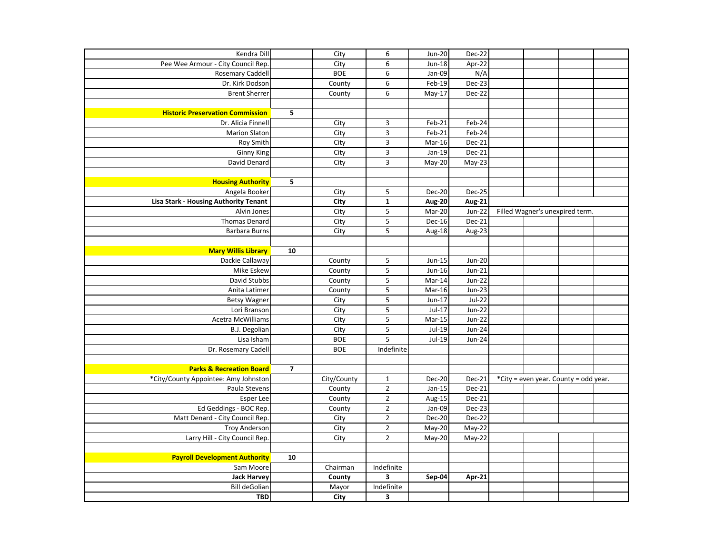| Kendra Dill                             |                | City        | $\boldsymbol{6}$        | $Jun-20$      | Dec-22        |  |                                       |  |
|-----------------------------------------|----------------|-------------|-------------------------|---------------|---------------|--|---------------------------------------|--|
| Pee Wee Armour - City Council Rep.      |                | City        | 6                       | Jun-18        | Apr-22        |  |                                       |  |
| <b>Rosemary Caddell</b>                 |                | <b>BOE</b>  | 6                       | Jan-09        | N/A           |  |                                       |  |
| Dr. Kirk Dodson                         |                | County      | $\boldsymbol{6}$        | Feb-19        | Dec-23        |  |                                       |  |
| <b>Brent Sherrer</b>                    |                | County      | 6                       | May-17        | Dec-22        |  |                                       |  |
|                                         |                |             |                         |               |               |  |                                       |  |
| <b>Historic Preservation Commission</b> | 5              |             |                         |               |               |  |                                       |  |
| Dr. Alicia Finnell                      |                | City        | $\mathsf 3$             | $Feb-21$      | Feb-24        |  |                                       |  |
| <b>Marion Slaton</b>                    |                | City        | $\overline{\mathbf{3}}$ | $Feb-21$      | Feb-24        |  |                                       |  |
| Roy Smith                               |                | City        | 3                       | Mar-16        | Dec-21        |  |                                       |  |
| Ginny King                              |                | City        | $\mathsf 3$             | $Jan-19$      | Dec-21        |  |                                       |  |
| David Denard                            |                | City        | $\overline{\mathbf{3}}$ | May-20        | May-23        |  |                                       |  |
|                                         |                |             |                         |               |               |  |                                       |  |
| <b>Housing Authority</b>                | 5              |             |                         |               |               |  |                                       |  |
| Angela Booker                           |                | City        | 5                       | Dec-20        | Dec-25        |  |                                       |  |
| Lisa Stark - Housing Authority Tenant   |                | City        | $\mathbf 1$             | Aug-20        | <b>Aug-21</b> |  |                                       |  |
| Alvin Jones                             |                | City        | 5                       | Mar-20        | Jun-22        |  | Filled Wagner's unexpired term.       |  |
| <b>Thomas Denard</b>                    |                | City        | 5                       | Dec-16        | $Dec-21$      |  |                                       |  |
| <b>Barbara Burns</b>                    |                | City        | $\overline{\mathbf{5}}$ | Aug-18        | Aug-23        |  |                                       |  |
|                                         |                |             |                         |               |               |  |                                       |  |
| <b>Mary Willis Library</b>              | 10             |             |                         |               |               |  |                                       |  |
| Dackie Callaway                         |                | County      | $\overline{\mathbf{5}}$ | Jun-15        | <b>Jun-20</b> |  |                                       |  |
| Mike Eskew                              |                | County      | 5                       | Jun-16        | $Jun-21$      |  |                                       |  |
| David Stubbs                            |                | County      | 5                       | Mar-14        | Jun-22        |  |                                       |  |
| Anita Latimer                           |                | County      | 5                       | Mar-16        | $Jun-23$      |  |                                       |  |
| <b>Betsy Wagner</b>                     |                | City        | $\overline{\mathbf{5}}$ | $Jun-17$      | <b>Jul-22</b> |  |                                       |  |
| Lori Branson                            |                | City        | 5                       | $Jul-17$      | <b>Jun-22</b> |  |                                       |  |
| <b>Acetra McWilliams</b>                |                | City        | $\overline{\mathbf{5}}$ | Mar-15        | $Jun-22$      |  |                                       |  |
| <b>B.J. Degolian</b>                    |                | City        | 5                       | $Jul-19$      | <b>Jun-24</b> |  |                                       |  |
| Lisa Isham                              |                | <b>BOE</b>  | 5                       | $Jul-19$      | Jun-24        |  |                                       |  |
| Dr. Rosemary Cadell                     |                | <b>BOE</b>  | Indefinite              |               |               |  |                                       |  |
|                                         |                |             |                         |               |               |  |                                       |  |
| <b>Parks &amp; Recreation Board</b>     | $\overline{7}$ |             |                         |               |               |  |                                       |  |
| *City/County Appointee: Amy Johnston    |                | City/County | $\mathbf 1$             | Dec-20        | Dec-21        |  | *City = even year. County = odd year. |  |
| Paula Stevens                           |                | County      | $\mathbf 2$             | $Jan-15$      | Dec-21        |  |                                       |  |
| Esper Lee                               |                | County      | $\overline{2}$          | Aug-15        | Dec-21        |  |                                       |  |
| Ed Geddings - BOC Rep.                  |                | County      | $\mathbf 2$             | Jan-09        | Dec-23        |  |                                       |  |
| Matt Denard - City Council Rep.         |                | City        | $\mathbf 2$             | <b>Dec-20</b> | Dec-22        |  |                                       |  |
| <b>Troy Anderson</b>                    |                | City        | $\mathbf 2$             | $May-20$      | May-22        |  |                                       |  |
| Larry Hill - City Council Rep.          |                | City        | $\overline{2}$          | May-20        | May-22        |  |                                       |  |
|                                         |                |             |                         |               |               |  |                                       |  |
| <b>Payroll Development Authority</b>    | 10             |             |                         |               |               |  |                                       |  |
| Sam Moore                               |                | Chairman    | Indefinite              |               |               |  |                                       |  |
| <b>Jack Harvey</b>                      |                | County      | $\overline{\mathbf{3}}$ | Sep-04        | Apr-21        |  |                                       |  |
| <b>Bill deGolian</b>                    |                | Mayor       | Indefinite              |               |               |  |                                       |  |
| <b>TBD</b>                              |                | City        | $\mathbf 3$             |               |               |  |                                       |  |